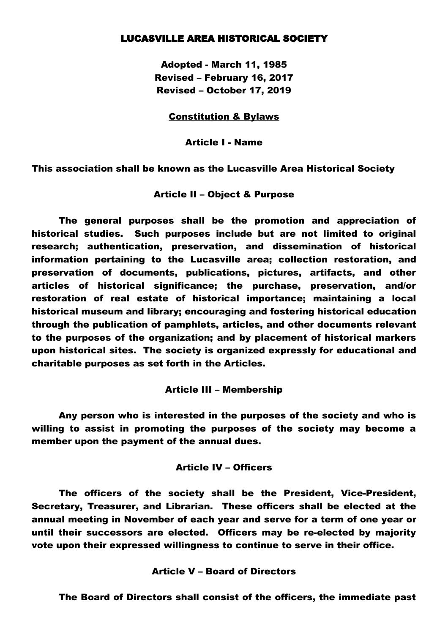## LUCASVILLE AREA HISTORICAL SOCIETY

Adopted - March 11, 1985 Revised – February 16, 2017 Revised – October 17, 2019

#### Constitution & Bylaws

Article I - Name

This association shall be known as the Lucasville Area Historical Society

### Article II – Object & Purpose

The general purposes shall be the promotion and appreciation of historical studies. Such purposes include but are not limited to original research; authentication, preservation, and dissemination of historical information pertaining to the Lucasville area; collection restoration, and preservation of documents, publications, pictures, artifacts, and other articles of historical significance; the purchase, preservation, and/or restoration of real estate of historical importance; maintaining a local historical museum and library; encouraging and fostering historical education through the publication of pamphlets, articles, and other documents relevant to the purposes of the organization; and by placement of historical markers upon historical sites. The society is organized expressly for educational and charitable purposes as set forth in the Articles.

#### Article III – Membership

Any person who is interested in the purposes of the society and who is willing to assist in promoting the purposes of the society may become a member upon the payment of the annual dues.

## Article IV – Officers

The officers of the society shall be the President, Vice-President, Secretary, Treasurer, and Librarian. These officers shall be elected at the annual meeting in November of each year and serve for a term of one year or until their successors are elected. Officers may be re-elected by majority vote upon their expressed willingness to continue to serve in their office.

### Article V – Board of Directors

The Board of Directors shall consist of the officers, the immediate past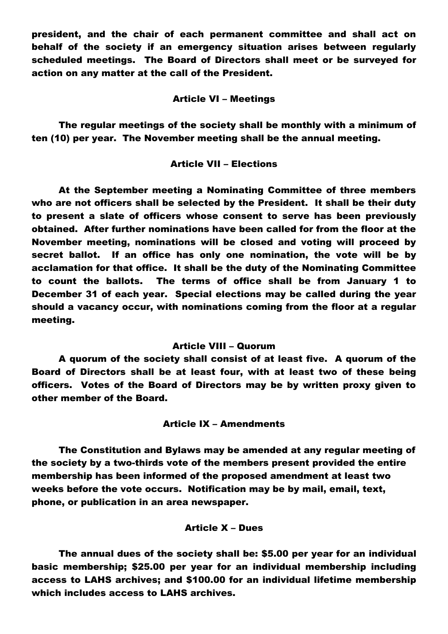president, and the chair of each permanent committee and shall act on behalf of the society if an emergency situation arises between regularly scheduled meetings. The Board of Directors shall meet or be surveyed for action on any matter at the call of the President.

### Article VI – Meetings

The regular meetings of the society shall be monthly with a minimum of ten (10) per year. The November meeting shall be the annual meeting.

## Article VII – Elections

At the September meeting a Nominating Committee of three members who are not officers shall be selected by the President. It shall be their duty to present a slate of officers whose consent to serve has been previously obtained. After further nominations have been called for from the floor at the November meeting, nominations will be closed and voting will proceed by secret ballot. If an office has only one nomination, the vote will be by acclamation for that office. It shall be the duty of the Nominating Committee to count the ballots. The terms of office shall be from January 1 to December 31 of each year. Special elections may be called during the year should a vacancy occur, with nominations coming from the floor at a regular meeting.

### Article VIII – Quorum

A quorum of the society shall consist of at least five. A quorum of the Board of Directors shall be at least four, with at least two of these being officers. Votes of the Board of Directors may be by written proxy given to other member of the Board.

## Article IX – Amendments

The Constitution and Bylaws may be amended at any regular meeting of the society by a two-thirds vote of the members present provided the entire membership has been informed of the proposed amendment at least two weeks before the vote occurs. Notification may be by mail, email, text, phone, or publication in an area newspaper.

## Article X – Dues

The annual dues of the society shall be: \$5.00 per year for an individual basic membership; \$25.00 per year for an individual membership including access to LAHS archives; and \$100.00 for an individual lifetime membership which includes access to LAHS archives.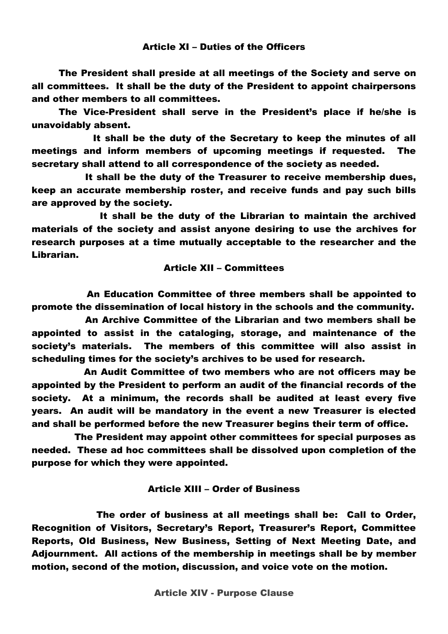# Article XI – Duties of the Officers

The President shall preside at all meetings of the Society and serve on all committees. It shall be the duty of the President to appoint chairpersons and other members to all committees.

The Vice-President shall serve in the President's place if he/she is unavoidably absent.

It shall be the duty of the Secretary to keep the minutes of all meetings and inform members of upcoming meetings if requested. The secretary shall attend to all correspondence of the society as needed.

It shall be the duty of the Treasurer to receive membership dues, keep an accurate membership roster, and receive funds and pay such bills are approved by the society.

It shall be the duty of the Librarian to maintain the archived materials of the society and assist anyone desiring to use the archives for research purposes at a time mutually acceptable to the researcher and the Librarian.

# Article XII – Committees

An Education Committee of three members shall be appointed to promote the dissemination of local history in the schools and the community.

An Archive Committee of the Librarian and two members shall be appointed to assist in the cataloging, storage, and maintenance of the society's materials. The members of this committee will also assist in scheduling times for the society's archives to be used for research.

An Audit Committee of two members who are not officers may be appointed by the President to perform an audit of the financial records of the society. At a minimum, the records shall be audited at least every five years. An audit will be mandatory in the event a new Treasurer is elected and shall be performed before the new Treasurer begins their term of office.

The President may appoint other committees for special purposes as needed. These ad hoc committees shall be dissolved upon completion of the purpose for which they were appointed.

# Article XIII – Order of Business

The order of business at all meetings shall be: Call to Order, Recognition of Visitors, Secretary's Report, Treasurer's Report, Committee Reports, Old Business, New Business, Setting of Next Meeting Date, and Adjournment. All actions of the membership in meetings shall be by member motion, second of the motion, discussion, and voice vote on the motion.